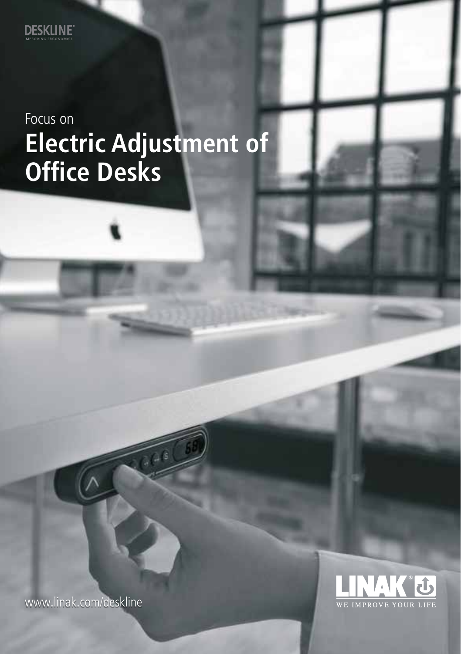

Focus on **Electric Adjustment of Office Desks**



www.linak.com/deskline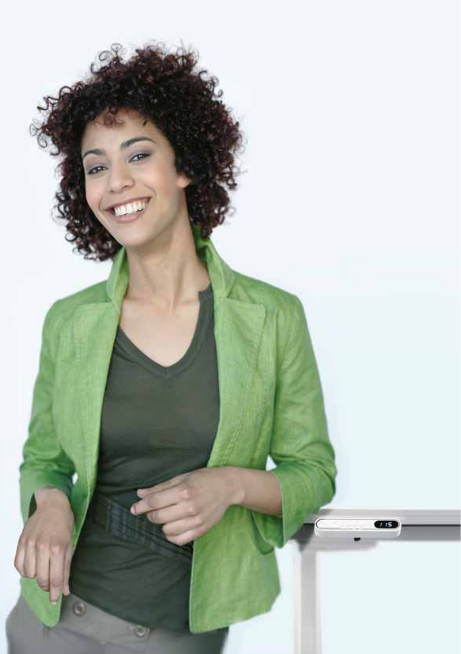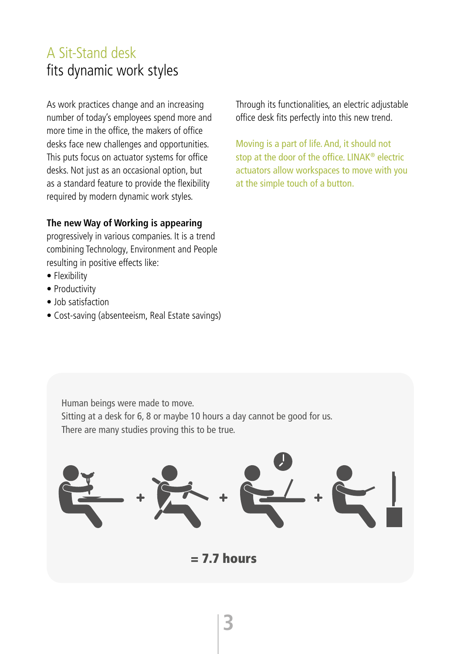# A Sit-Stand desk fits dynamic work styles

As work practices change and an increasing number of today's employees spend more and more time in the office, the makers of office desks face new challenges and opportunities. This puts focus on actuator systems for office desks. Not just as an occasional option, but as a standard feature to provide the flexibility required by modern dynamic work styles.

### **The new Way of Working is appearing**

progressively in various companies. It is a trend combining Technology, Environment and People resulting in positive effects like:

- Flexibility
- Productivity
- Job satisfaction
- Cost-saving (absenteeism, Real Estate savings)

Through its functionalities, an electric adjustable office desk fits perfectly into this new trend.

Moving is a part of life. And, it should not stop at the door of the office. LINAK® electric actuators allow workspaces to move with you at the simple touch of a button.

Human beings were made to move. Sitting at a desk for 6, 8 or maybe 10 hours a day cannot be good for us. There are many studies proving this to be true.



 $= 7.7$  hours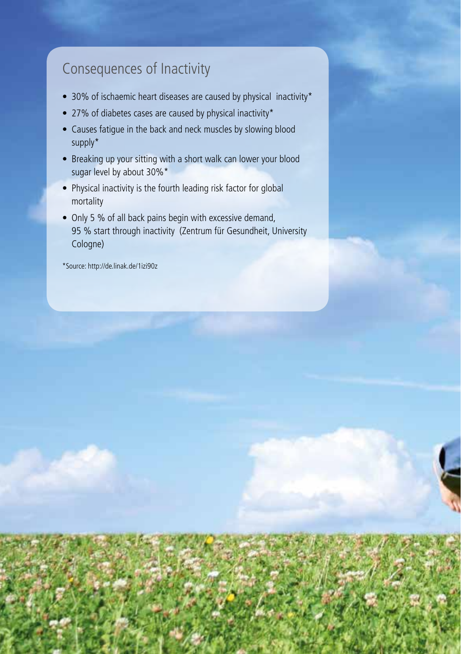# Consequences of Inactivity

- 30% of ischaemic heart diseases are caused by physical inactivity\*
- 27% of diabetes cases are caused by physical inactivity\*
- Causes fatigue in the back and neck muscles by slowing blood supply\*
- Breaking up your sitting with a short walk can lower your blood sugar level by about 30%\*
- Physical inactivity is the fourth leading risk factor for global mortality
- Only 5 % of all back pains begin with excessive demand, 95 % start through inactivity (Zentrum für Gesundheit, University Cologne)

\*Source: http://de.linak.de/1izi90z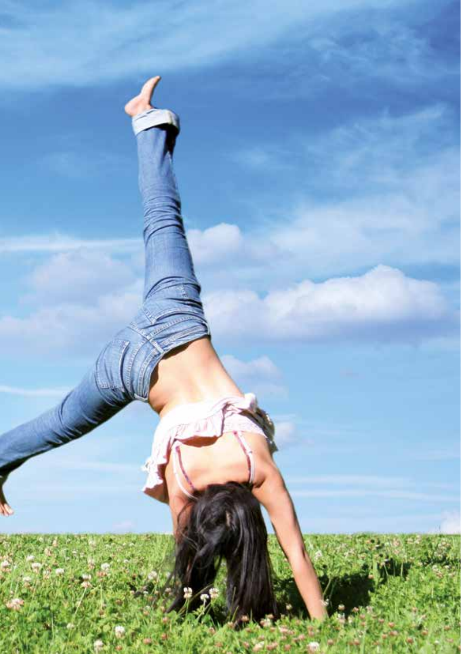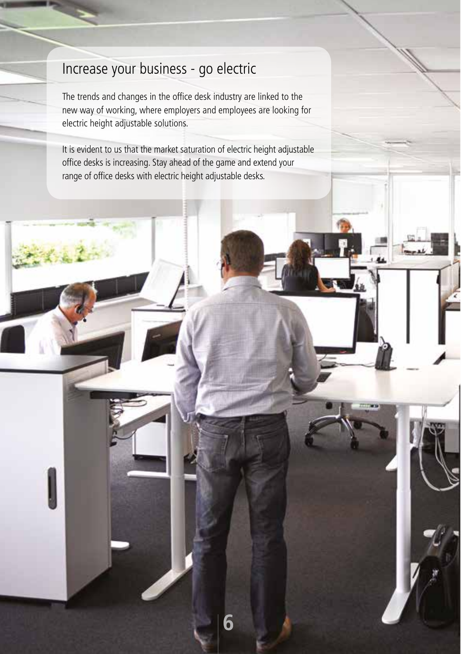## Increase your business - go electric

The trends and changes in the office desk industry are linked to the new way of working, where employers and employees are looking for electric height adjustable solutions.

It is evident to us that the market saturation of electric height adjustable office desks is increasing. Stay ahead of the game and extend your range of office desks with electric height adjustable desks.

**66**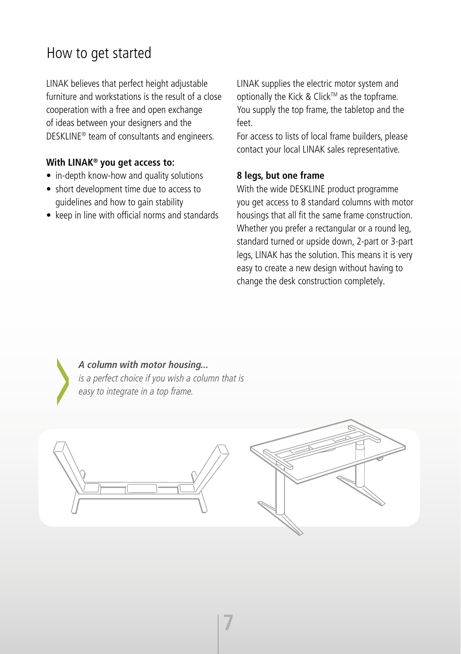# How to get started

LINAK believes that perfect height adjustable furniture and workstations is the result of a close cooperation with a free and open exchange of ideas between your designers and the DESKLINE® team of consultants and engineers.

### **With LINAK® you get access to:**

- in-depth know-how and quality solutions
- short development time due to access to guidelines and how to gain stability
- keep in line with official norms and standards

LINAK supplies the electric motor system and optionally the Kick & Click™ as the topframe. You supply the top frame, the tabletop and the feet.

For access to lists of local frame builders, please contact your local LINAK sales representative.

### **8 legs, but one frame**

With the wide DESKLINE product programme you get access to 8 standard columns with motor housings that all fit the same frame construction. Whether you prefer a rectangular or a round leg. standard turned or upside down, 2-part or 3-part legs, LINAK has the solution. This means it is very easy to create a new design without having to change the desk construction completely.

*A column with motor housing...* is a perfect choice if you wish a column that is easy to integrate in a top frame.



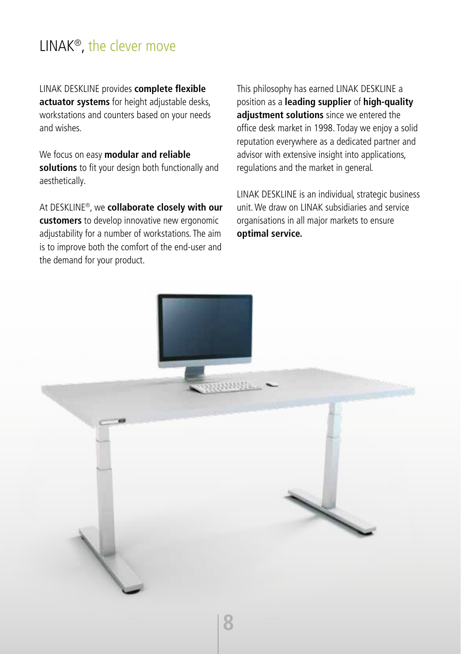# LINAK®, the clever move

LINAK DESKLINE provides **complete flexible actuator systems** for height adjustable desks, workstations and counters based on your needs and wishes.

We focus on easy **modular and reliable solutions** to fit your design both functionally and aesthetically.

At DESKLINE®, we **collaborate closely with our customers** to develop innovative new ergonomic adjustability for a number of workstations. The aim is to improve both the comfort of the end-user and the demand for your product.

This philosophy has earned LINAK DESKLINE a position as a **leading supplier** of **high-quality adjustment solutions** since we entered the office desk market in 1998. Today we enjoy a solid reputation everywhere as a dedicated partner and advisor with extensive insight into applications, regulations and the market in general.

LINAK DESKLINE is an individual, strategic business unit. We draw on LINAK subsidiaries and service organisations in all major markets to ensure **optimal service.**

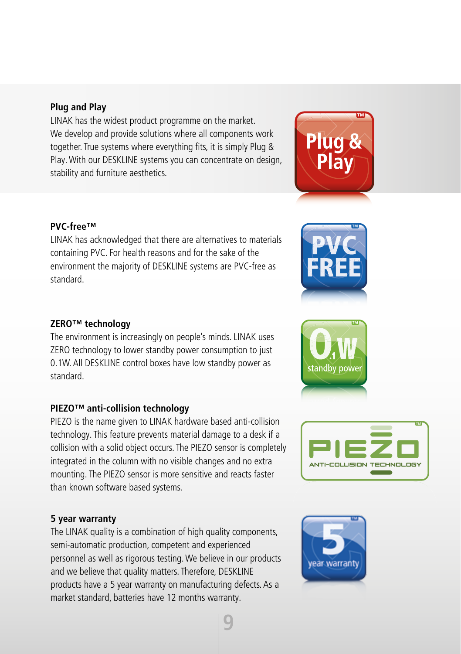#### **Plug and Play**

LINAK has the widest product programme on the market. We develop and provide solutions where all components work together. True systems where everything fits, it is simply Plug & Play. With our DESKLINE systems you can concentrate on design, stability and furniture aesthetics.



#### **PVC-free™**

LINAK has acknowledged that there are alternatives to materials containing PVC. For health reasons and for the sake of the environment the majority of DESKLINE systems are PVC-free as standard.

#### **ZERO™ technology**

The environment is increasingly on people's minds. LINAK uses ZERO technology to lower standby power consumption to just 0.1W. All DESKLINE control boxes have low standby power as standard.

#### **PIEZO™ anti-collision technology**

PIEZO is the name given to LINAK hardware based anti-collision technology. This feature prevents material damage to a desk if a collision with a solid object occurs. The PIEZO sensor is completely integrated in the column with no visible changes and no extra mounting. The PIEZO sensor is more sensitive and reacts faster than known software based systems.

#### **5 year warranty**

The LINAK quality is a combination of high quality components, semi-automatic production, competent and experienced personnel as well as rigorous testing. We believe in our products and we believe that quality matters. Therefore, DESKLINE products have a 5 year warranty on manufacturing defects. As a market standard, batteries have 12 months warranty.







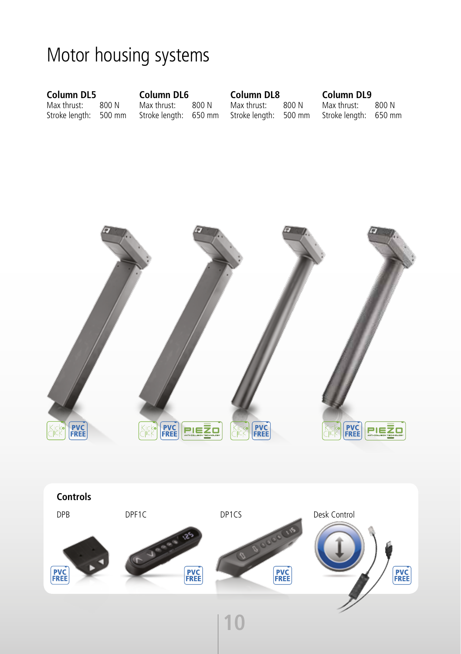# Motor housing systems

**Column DL5** Max thrust: 800 N Stroke length: 500 mm

**Column DL6** Max thrust: 800 N Stroke length: 650 mm

**Column DL8**

Max thrust: 800 N Stroke length: 500 mm **Column DL9** Max thrust: 800 N Stroke length: 650 mm



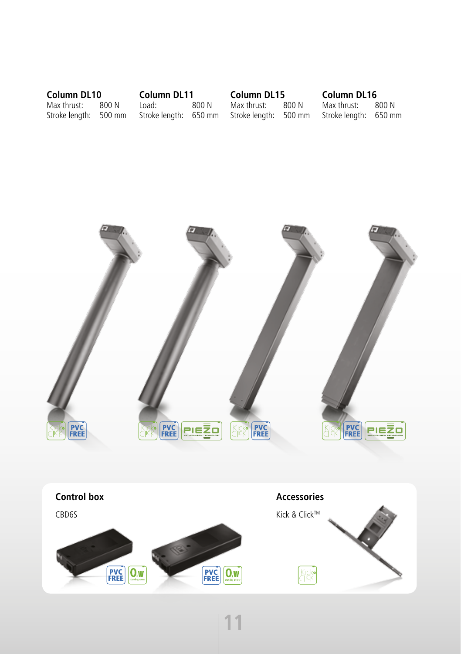**Column DL10**<br>Max thrust: 800 N Max thrust: Stroke length: 500 mm **Column DL11**<br>Load: 800 N Load: 800 N Stroke length: 650 mm

**Column DL15**<br>Max thrust: 800 N Max thrust: Stroke length: 500 mm **Column DL16**<br>Max thrust: 800 N Max thrust: Stroke length: 650 mm





**11**